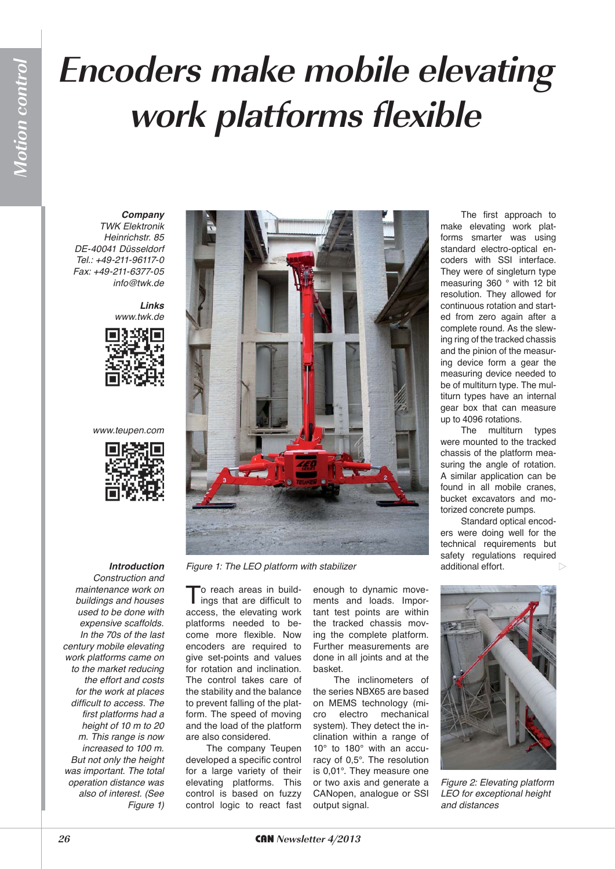## **Encoders make mobile elevating work platforms flexible**

*Company TWK Elektronik Heinrichstr. 85 DE-40041 Düsseldorf Tel.: +49-211-96117-0 Fax: +49-211-6377-05 info@twk.de*

> *Links www.twk.de*



*www.teupen.com*



## *Introduction*

*Construction and maintenance work on buildings and houses used to be done with expensive scaffolds. In the 70s of the last century mobile elevating work platforms came on to the market reducing the effort and costs for the work at places difficult to access. The first platforms had a height of 10 m to 20 m. This range is now increased to 100 m. But not only the height was important. The total operation distance was also of interest. (See Figure 1)*



*Figure 1: The LEO platform with stabilizer*

To reach areas in build-<br>ings that are difficult to access, the elevating work platforms needed to become more flexible. Now encoders are required to give set-points and values for rotation and inclination. The control takes care of the stability and the balance to prevent falling of the platform. The speed of moving and the load of the platform are also considered.

The company Teupen developed a specific control for a large variety of their elevating platforms. This control is based on fuzzy control logic to react fast

enough to dynamic movements and loads. Important test points are within the tracked chassis moving the complete platform. Further measurements are done in all joints and at the basket.

The inclinometers of the series NBX65 are based on MEMS technology (micro electro mechanical system). They detect the inclination within a range of 10° to 180° with an accuracy of 0,5°. The resolution is 0,01°. They measure one or two axis and generate a CANopen, analogue or SSI output signal.

The first approach to make elevating work platforms smarter was using standard electro-optical encoders with SSI interface. They were of singleturn type measuring 360 ° with 12 bit resolution. They allowed for continuous rotation and started from zero again after a complete round. As the slewing ring of the tracked chassis and the pinion of the measuring device form a gear the measuring device needed to be of multiturn type. The multiturn types have an internal gear box that can measure up to 4096 rotations.

The multiturn types were mounted to the tracked chassis of the platform measuring the angle of rotation. A similar application can be found in all mobile cranes, bucket excavators and motorized concrete pumps.

Standard optical encoders were doing well for the technical requirements but safety regulations required  $\triangleright$ additional effort.



*Figure 2: Elevating platform LEO for exceptional height and distances*